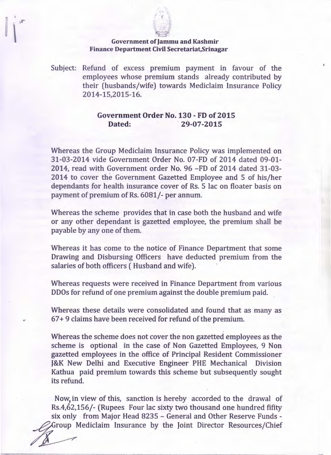

## Government of Jammu and Kashmir Finance Department Civil Secretariat, Srinagar

Subject: Refund of excess premium payment in favour of the employees whose premium stands already contributed by their (husbands/wife) towards Mediclaim Insurance Policy 2014-15,2015-16.

## Government Order No. 130 - FD of 2015 Dated: 29-07-2015

Whereas the Group Mediclaim Insurance Policy was implemented on 31-03-2014 vide Government Order No. 07-FD of 2014 dated 09-01- 2014, read with Government order No. 96 -FD of 2014 dated 31-03- 2014 to cover the Government Gazetted Employee and 5 of his/her dependants for health insurance cover of Rs, 5 lac on floater basis on payment of premium of Rs. 6081/- per annum.

Whereas the scheme provides that in case both the husband and wife or any other dependant is gazetted employee, the premium shall be payable by anyone of them.

Whereas it has come to the notice of Finance Department that some Drawing and Disbursing Officers have deducted premium from the salaries of both officers ( Husband and wife).

Whereas requests were received in Finance Department from various DDOs for refund of one premium against the double premium paid.

Whereas these details were consolidated and found that as many as 67+ 9 claims have been received for refund of the premium.

Whereas the scheme does not cover the non gazetted employees as the scheme is optional in the case of Non Gazetted Employees, 9 Non gazetted employees in the office of Principal Resident Commissioner J&K New Delhi and Executive Engineer PHE Mechanical Division Kathua paid premium towards this scheme but subsequently sought its refund.

Now in view of this, sanction is hereby accorded to the drawal of Rs.4,62,156/- (Rupees Four lac sixty two thousand one hundred fifity six only from Major Head 8235 - General and Other Reserve Funds -Group Mediclaim Insurance by the Joint Director Resources/Chief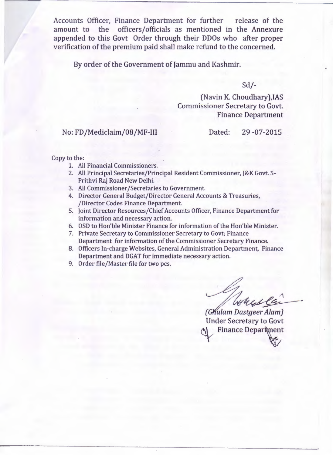Accounts Officer, Finance Department for further release of the amount to the officers/officials as mentioned in the Annexure appended to this Govt Order through their DDOs who after proper verification of the premium paid shall make refund to the concerned.

By order of the Government of Jammu and Kashmir.

Sd/-

(Navin K. Choudhary),IAS Commissioner Secretary to Govt. Finance Department

No: FD/Mediclaim/08/MF-III Dated: 29 -07-2015

Copy to the:

- 1. All Financial Commissioners.
- 2. All Principal Secretaries/Principal Resident Commissioner, J&K Govt. 5- Prithvi Raj Road New Delhi.
- 3. All Commissioner/Secretaries to Government.
- 4. Director General Budget/Director General Accounts & Treasuries, /Director Codes Finance Department.
- 5. Joint Director Resources/Chief Accounts Officer, Finance Department for information and necessary action.
- 6. OSD to Hon'ble Minister Finance for information of the Hon'ble Minister.
- 7. Private Secretary to Commissioner Secretary to Govt; Finance Department for information of the Commissioner Secretary Finance.
- 8. Officers In-charge Websites, General Administration Department, Finance Department and DGAT for immediate necessary action.
- 9. Order file/Master file for two pcs.

 $\overline{\phantom{a}}$ housela

(Ghulam Dastgeer Alam) Under Secretary to Govt Finance Department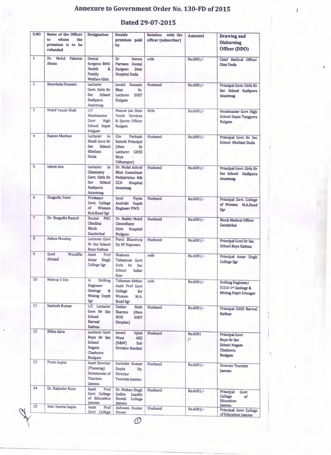## **Annexure to Government Order No. 130-FD of 2015**

 $\mathbf{r}$ 

## **Dated 29-07-2015**

| S.NO           | Name of the Officer<br>whom<br>to<br>the<br>premium is to be<br>refunded | <b>Designation</b>                                                                                   | <b>Double</b><br>premium paid<br>by                                                                                                    | <b>Relation</b><br>with the<br>officer (subscriber) | <b>Amount</b> | <b>Drawing and</b><br><b>Disbursing</b><br>Officer (DDO)                                        |
|----------------|--------------------------------------------------------------------------|------------------------------------------------------------------------------------------------------|----------------------------------------------------------------------------------------------------------------------------------------|-----------------------------------------------------|---------------|-------------------------------------------------------------------------------------------------|
| $\mathbf{1}$   | Dr. Mohd<br>Faheem<br>Ahsan                                              | Dental<br>Surgeon BMO<br>Health<br>8 <sub>L</sub><br>Family<br><b>Welfare Ghat</b>                   | Dr<br>Seema<br>Parveen Dental<br>Surgeon Distt<br><b>Hospital Doda</b>                                                                 | wife                                                | Rs.6081/-     | Chief Medical Officer<br><b>Ghat Doda</b>                                                       |
| $\overline{2}$ | Showkata Hussain                                                         | Lecturer<br><b>Govt. Girls Hr</b><br><b>Sec</b><br>School<br><b>Kadipora</b><br>Anantnag             | Javaid Hussain<br><b>Bhat</b><br>Sr.<br>Lecturer<br><b>DIET</b><br>Kulgam                                                              | Husband                                             | Rs.6081/-     | Principal Govt. Girls Hr<br>Sec School Kadipora<br>Anantnag                                     |
| 3              | Mohd Yaqub Shah                                                          | I/C<br>Headmaster<br>Govt<br>High<br>School Sopat<br>Kulgam                                          | Masrat Jan Distt<br>Youth Services<br>& Sports Officer<br>Kulgam                                                                       | Wife                                                | Rs.6081/-     | <b>Headmaster Govt High</b><br><b>School Sopat Tangpora</b><br>Kulgam                           |
| $\overline{4}$ | Rajnee Manhas                                                            | Lecturer<br>in<br>Hindi Govt Hr<br><b>Sec</b><br>School<br>Khellani<br>Doda                          | Parkash<br>0 <sub>m</sub><br><b>Katoch Principal</b><br>(then<br>$S_{\Gamma}$<br>Lecturer GHSS<br><b>Boys</b><br>$\pm\pi$<br>Udhampur) | Husband                                             | Rs.6081/-     | Principal Govt Hr Sec<br>School Khellani Doda                                                   |
| 5              | Ishrat Ara                                                               | Lecturer<br>in<br>Chemistry<br><b>Govt. Girls Hr</b><br><b>Sec</b><br>School<br>Kadipora<br>Anantnag | Dr. Mohd Ashraf<br><b>Bhat Consultant</b><br>Pediatrician M&<br><b>CCH</b><br><b>Hospital</b><br>Anantnag                              | Husband                                             | Rs.6081/-     | Principal Govt. Girls Hr<br>Sec School Kadipora<br>Anantnag                                     |
| 6              | Shagufta Yesvi.                                                          | Professor<br>Govt. College<br>of<br>Women<br>M.A.Road Sgr                                            | Syed<br>Fayaz<br>Andrabi<br>Supdt<br><b>Engineer PWD</b>                                                                               | Husband                                             | Rs.6081/-     | Principal Govt. College<br>of Women M.A.Road<br>Sgr                                             |
| $\overline{7}$ | Dr. Shagufta Rasool                                                      | Doctor PHC<br>Chudina<br><b>Block</b><br>Ganderbal                                                   | Dr. Bashir Mohd<br>Chowdhary<br>Distt Hospital<br><b>Budgam</b>                                                                        | Husband                                             | Rs.6081/-     | <b>Block Medical Officer</b><br>Ganderbal                                                       |
| 8              | Ashna Munday                                                             | Lecturer Govt<br>Hr Sec School<br><b>Boys Kathua</b>                                                 | Parul Bhardwaj<br>Dy SP Kupwara                                                                                                        | Husband                                             | Rs.6081/-     | Principal Govt Hr Sec<br><b>School Boys Kathua</b>                                              |
| 9              | Syed<br>Muzaffar<br>Ahmed                                                | Asstt<br>Prof<br>Amar<br>Singh<br>College Sgr                                                        | Shaheen<br>Tabassum Govt<br>Girls Hr<br>Sec<br>School<br>Sallar<br>Kmr                                                                 | wife                                                | Rs.6081/-     | Principal Amar Singh<br><b>College Sgr</b>                                                      |
| 10             | Mehraj U Din                                                             | Sr<br>Drilling<br>Engineer<br>Geology<br>&<br><b>Mining Deptt</b><br>Sgr                             | <b>Tabasum Akther</b><br>Asstt Prof Govt<br>College<br>for<br>Women<br>M.A.<br>Road Sgr                                                | wife                                                | Rs.6081/-     | Drilling Engineer/<br>D.D.O-1 <sup>x</sup> Geology &<br><b>Mining Deptt Srinagar</b>            |
| 11             | Santosh Kumar                                                            | I/C Lecturer<br>Govt Hr Sec<br>School<br><b>Barwal</b><br>Kathua                                     | Omkar<br><b>Nath</b><br>Sharma<br>(then<br>HOD<br><b>DIET</b><br>Shopian)                                                              | Husband                                             | Rs.6081/-     | <b>Principal GHSS Barwal</b><br><b>Kathua</b>                                                   |
| 12             | <b>Bilkis Azra</b>                                                       | <b>Lecturer Govt</b><br>Boys Hr Sec<br>School<br>Nagam<br>Chadoora<br><b>Budgam</b>                  | Javaid<br>Iqbal<br>Wani<br><b>AEE</b><br>(R&W)<br>Sub<br><b>Division Banihal</b>                                                       | Husband                                             | Rs.6081<br>/  | <b>Principal Govt</b><br><b>Boys Hr Sec</b><br><b>School Nagam</b><br>Chadoora<br><b>Budgam</b> |
| 13             | Prem Gupta                                                               | <b>Asstt Director</b><br>(Planning)<br>Directorate of<br>Tourism<br>Jammu                            | Surinder Kumar<br>Gupta<br>Dy.<br><b>Director</b><br>Tourism Jammu                                                                     | Husband                                             | Rs.6081/-     | <b>Director Tourism</b><br>Jammu                                                                |
| 14             | Dr. Rajinder Kour                                                        | Asstt<br>Prof<br>Govt College<br>of Education<br>Jammu                                               | Dr. Mohan Singh<br>Indira<br>Gandhi<br>Dental<br>College<br>Jammu                                                                      | Husband                                             | Rs.6081/-     | Principal<br>Govt<br>College<br>of<br>Education<br>lammu                                        |
| 15             | Smt. Sunita Gupta                                                        | Asstt<br>Prof<br>Govt College                                                                        | Ashwani Kumar<br>Power                                                                                                                 | Husband                                             | Rs.6081/-     | <b>Principal Govt College</b><br>of Education Jammu                                             |

 $\mathcal{O}$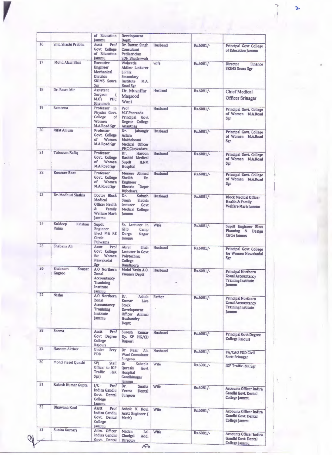|    |                             | of Education<br>Jammu                                                                             | Development<br>Deptt                                                                                 |         |           |                                                                                             |
|----|-----------------------------|---------------------------------------------------------------------------------------------------|------------------------------------------------------------------------------------------------------|---------|-----------|---------------------------------------------------------------------------------------------|
| 16 | Smt. Shashi Prabha          | Prof<br>Asstt<br>Govt College<br>of Education<br>lammu                                            | Dr. Rattan Singh<br>Consultant<br>Pediatrician<br><b>SDH Bhaderwah</b>                               | Husband | Rs.6081/- | Principal Govt College<br>of Education Jammu                                                |
| 17 | Mohd Afzal Bhat             | <b>Executive</b><br>Engineer<br>Mechanical<br><b>Division</b><br><b>SKIMS</b> Soura<br><b>Sgr</b> | Waheeda<br>Akther Lecturer<br>S.P.Hr.<br>Secondary<br>Institute<br>M.A.<br>Road Sgr                  | wife    | Rs.6081/- | <b>Director</b><br>Finance<br><b>SKIMS Soura Sgr</b>                                        |
| 18 | Dr. Basra Mir               | <b>Assistant</b><br>Surgeon<br>€<br>M.0<br><b>PHC</b><br>Khanmoh                                  | Dr. Muzaffar<br>Maqsood<br>Wani                                                                      | Husband | Rs.6081/- | <b>Chief Medical</b><br><b>Officer Srinagar</b>                                             |
| 19 | Sameena                     | Professor in<br>Physics Govt.<br>College<br>οf<br>Women<br>M.A.Road Sgr                           | Prof<br>M.Y.Peerzada<br>Principal Govt<br>Degree College<br>Anantnag                                 | Husband | Rs.6081/- | Principal Govt. College<br>of Women M.A.Road<br>Sgr                                         |
| 20 | <b>Rifat Anjum</b>          | Professor<br>Govt. College<br>of<br>Women<br>M.A.Road Sgr                                         | Dr.<br>Jahangir<br>Aslam<br>Makhdoomi<br>Medical Officer<br><b>PHC Chewadara</b>                     | Husband | Rs.6081/- | Principal Govt. College<br>of Women M.A.Road<br>Sgr                                         |
| 21 | <b>Tabasum Rafiq</b>        | Professor<br>Govt. College<br>of<br>Women<br>M.A.Road Sgr                                         | Dr.<br>Haroon<br>Rashid Medical<br>Supdt<br><b>JLNM</b><br>Hospital                                  | Husband | Rs.6081/- | Principal Govt. College<br>of Women M.A.Road<br>Sgr                                         |
| 22 | <b>Kounser Bhat</b>         | Professor<br>Govt. College<br>Women<br>of<br><b>M.A.Road Sgr</b>                                  | Muneer Ahmad<br>Sheikh<br>Ex.<br><b>Engineer</b><br>Electric Deptt<br><b>Bijbehara</b>               | Husband | Rs.6081/- | Principal Govt. College<br>of Women M.A.Road<br>Sgr                                         |
| 23 | Dr. Madhuri Slathia         | Doctor Block<br>Medical<br>Officer Health<br>&<br>Family<br><b>Welfare Marh</b><br>Jammu          | Subash<br>Dr.<br>Singh<br>Slathia<br>lecturer<br>Govt<br>Medical College<br><b>Jammu</b>             | Husband | Rs.6081/- | <b>Block Medical Officer</b><br>Health & Family<br>Welfare Marh Jammu                       |
| 24 | Kuldeep<br>Krishan<br>Raina | Supdt<br><b>Engineer</b><br>Elect M& RE<br>Circle<br>Pulwama                                      | Sr. Lecturer in<br><b>GHS</b><br>Camp<br>Durga<br>Nagar<br>lammu                                     | Wife    | Rs.6081/- | Supdt Engineer Elect<br>Planning &<br>Design<br>Circle Jammu                                |
| 25 | Shabana Ali                 | <b>Asstt</b><br>Prof<br>Govt College<br>for<br>Women<br><b>Nawakadal</b><br>Sgr                   | Abrar<br>Shah<br>Lecturer in Govt<br>Polytechnic<br>College<br><b>Bandipora</b>                      | Husband | Rs.6081/- | <b>Principal Govt College</b><br>for Women Nawakadal<br>Sgr                                 |
| 26 | Shabnam<br>Kousar<br>Gagroo | A.O Northern<br><b>Zonal</b><br><b>Accountancy</b><br><b>Tranining</b><br>Institute<br>Jammu      | Mohd Yasin A.O. Husband<br><b>Finance Deptt</b>                                                      |         | Rs.6081/- | <b>Principal Northern</b><br>Zonal Accountancy<br><b>Training Institute</b><br><b>Jammu</b> |
| 27 | Nishu                       | A.O Northern<br>Zonal<br>Accountancy<br><b>Tranining</b><br>Institute<br><b>Jammu</b>             | Dr.<br>Ashok<br>Kumar<br>Live<br><b>Stock</b><br>Development<br>Officer Animal<br>Husbandry<br>Deptt | Father  | Rs.6081/- | Principal Northern<br><b>Zonal Accountancy</b><br><b>Training Institute</b><br>Jammu        |
| 28 | Seema                       | Asstt<br>Prof<br>Govt Degree<br>College<br>Rajouri                                                | Suresh<br>Kumar<br>Dy. SP HG/CD<br>Rajouri                                                           | Husband | Rs.6081/- | <b>Principal Govt Degree</b><br><b>College Rajouri</b>                                      |
| 29 | Naseem Akther               | Under<br>Secy<br>PDD                                                                              | Dr Nazir Ah.<br>Wani Consultant<br>Surgeon                                                           | Husband | Rs.6081/- | FA/CAO PDD Civil<br><b>Sectt Srinagar</b>                                                   |
| 30 | Mohd Fiesel Queshi          | SP <sub>(</sub><br>Staff<br>Officer to IGP<br>Traffic<br>$18$ K<br>Sgr)                           | Dr<br>Saheela<br>Qureshi<br>Govt<br>Hospital<br>Gandhinagar<br>Jammu                                 | Wife    | Rs.6081/- | <b>IGP Traffic J&amp;K Sgr</b>                                                              |
| 31 | Rakesh Kumar Gupta          | 1/C<br>Prof<br>Indira Gandhi<br>Govt. Dental<br>College<br>Jammu                                  | Dr.<br>Sunita<br>Verma<br>Dental<br>Surgeon                                                          | Wife    | Rs.6081/- | <b>Accounts Officer Indira</b><br>Gandhi Govt. Dental<br>College Jammu                      |
| 32 | Bhawana Koul                | Asstt<br>Prof<br>Indira Gandhi<br>Govt. Dental<br>College<br><b>Jammu</b>                         | Ashok K Koul<br><b>Asstt Engineer (</b><br>Mech)                                                     | Wife    | Rs.6081/- | <b>Accounts Officer Indira</b><br>Gandhi Govt. Dental<br>College Jammu                      |
| 33 | Sunita Kumari               | Adm. Officer<br>Indira Gandhi<br>Govt. Dental                                                     | Madan<br>Lal<br>Chadgai<br>Addl<br>Director                                                          | Wife    | Rs.6081/- | <b>Accounts Officer Indira</b><br>Gandhi Govt. Dental<br>College Jammu                      |

 $\mathscr{A}$ 

 $\overline{\mathbf{r}}$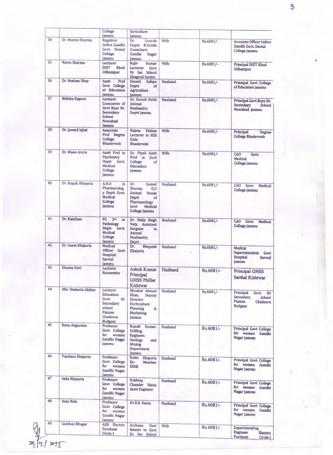|    |                       | College<br>Jammu                                                                                   | Sericulture<br>lammu                                                                                                        |                |             |                                                                                              |
|----|-----------------------|----------------------------------------------------------------------------------------------------|-----------------------------------------------------------------------------------------------------------------------------|----------------|-------------|----------------------------------------------------------------------------------------------|
| 34 | Dr. Mamta Sharma      | Registrar<br>Indira Gandhi<br>Govt. Dental<br>College<br>Jammu                                     | Dr.<br>Gourab<br>Gupta B-Grade<br>Consultant<br>Gandhi<br><b>Nagar</b><br>lammu                                             | Wife           | Rs.6081/-   | <b>Accounts Officer Indira</b><br>Gandhi Govt, Dental<br>College Jammu                       |
| 35 | Neetu Sharma          | Lecturer<br><b>DIET</b><br><b>Khud</b><br><b>Udhampur</b>                                          | Raiiv<br><b>Kumar</b><br><b>Lecturer</b><br><b>Govt</b><br>Hr Sec School<br>Ghagwal Samba                                   | Wife           | Rs.6081/-   | Principal DIET Khud<br><b>Udhampur</b>                                                       |
| 36 | Dr. Neelam Dhar       | <b>Asstt</b><br>Prof<br>Govt College<br>of Education<br>lammu                                      | Omesh Safaya<br><b>Deptt</b><br>of<br>Agriculture<br><b>Jammu</b>                                                           | Husband        | Rs.6081/-   | <b>Principal Govt College</b><br>of Education Jammu                                          |
| 37 | Rithika Kapoor        | Lecturer<br>Commerce of<br>Govt Boys Hr.<br>Secondary<br>School<br>Nowabad<br>lammu                | Dr. Suresh Kohli<br>Animal<br>Husbandry<br>Deptt Jammu                                                                      | Husband        | Rs.6081/-   | Principal Govt Boys Hr.<br>Secondary<br>School<br>Nowabad Jammu                              |
| 38 | Dr. Javeed Iqbal      | Associate<br>Prof Degree<br>College<br><b>Bhaderwah</b>                                            | Najma<br>Fatima<br>Lecturer in HSS<br>Girls<br><b>Bhaderwah</b>                                                             | Wife           | Rs.6081/-   | Principal<br>Degree<br><b>College Bhaderwah</b>                                              |
| 39 | Dr. Manu Arora        | Asstt Prof in<br>Psychiatry<br>Deptt Govt.<br>Medical<br>College<br>Jammu                          | Dr. Piyali Asstt<br>Prof in Govt<br>College<br>of<br>Education<br><b>Jammu</b>                                              | Wife           | Rs.6081/-   | CAO<br>Govt.<br>Medical<br>College Jammu                                                     |
| 40 | Dr. Rupali Khajuria   | A.H.O<br>in<br>Pharmacolog<br>y Deptt Govt.<br><b>Medical</b><br>College<br>Jammu                  | Dr.<br>Suneet<br>Sharma<br>0/I<br>Animal<br>House<br><b>Deptt</b><br>of<br>Pharmacology<br>Govt<br>Medical<br>College Jammu | Husband        | Rs.6081/-   | CAO<br>Govt.<br>Medical<br>College Jammu                                                     |
| 41 | Dr. Kanchan           | 2 <sub>ad</sub><br>PG<br>in<br>Pathology<br>Deptt Govt.<br>Medical<br>College<br><b>Jammu</b>      | Dr. Dalip Singh<br>Vety. Assistant<br>Surgeon<br>in<br>Animal<br>Husbandry<br>Deptt                                         | Husband        | Rs.6081/-   | CAO<br><b>Govt</b><br>Medical<br><b>College Jammu</b>                                        |
| 42 | Dr. Geeta Khajuria    | Medical<br>Officer Govt<br>Hospital<br>Sarwal<br>lammu                                             | Dr.<br><b>Bhupesh</b><br>Khajuria                                                                                           | <b>Husband</b> | Rs.6081/-   | <b>Medical</b><br>Superintendent<br>Govt<br><b>Hospital</b><br><b>Sarwal</b><br><b>Jammu</b> |
| 43 | Khema Devi            | Lecturer<br><b>Economics</b>                                                                       | <b>Ashok Kumar</b><br>Principal<br><b>GHSS Philler</b><br>Kishtwar                                                          | Husband        | Rs.6081/-   | <b>Principal GHSS</b><br>Sarthal Kishtwar                                                    |
| 44 | Mtr. Shakeela Akther  | Lecturer<br>Education<br>Govt.<br>Hr<br>Secondary<br>school<br>Panzan<br>Chadoora<br><b>Budgam</b> | Shoukat Ahmad<br>Khan,<br>Deputy<br><b>Director</b><br>Horticulture<br>Planning<br>&<br>Marketing<br>Jammu                  | Husband        | Rs.6081/-   | Principal<br>Hr<br>Govt.<br>Secondary<br>school<br>Panzan<br>Chadoora<br><b>Budgam</b>       |
| 45 | Renu Angurana         | Professor<br>Govt College<br>for women<br>Gandhi Nagar<br>Jammu                                    | Rajesh Kumar,<br><b>Drilling</b><br>Engineer,<br>Geology<br>and<br>Mining<br>Department<br>Jammu                            | Husband        | Rs.6081/-   | <b>Principal Govt College</b><br>for women<br>Gandhi<br>Nagar Jammu                          |
| 46 | Vandana Khajuria      | Professor<br>Govt College<br>for women<br>Gandhi Nagar<br>Jammu                                    | Rohit Khajuria<br>Ex-<br>Member<br><b>SSRB</b>                                                                              | Husband        | Rs.6081/-   | <b>Principal Govt College</b><br>for women<br>Gandhi<br>Nagar Jammu                          |
| 47 | Indu Khajuria         | Professor<br>Govt College<br>for women<br>Gandhi Nagar<br>Jammu                                    | Kuldeep<br>Chander Raina<br><b>Asstt Engineer</b>                                                                           | Husband        | Rs.6081/-   | <b>Principal Govt College</b><br>for women Gandhi<br>Nagar Jammu                             |
| 48 | Anju Bala             | Professor<br>Govt College<br>for women<br>Gandhi Nagar<br>Jammu                                    | Dr.B.B. Raina                                                                                                               | Husband        | $Rs.6081/-$ | Principal Govt College<br>for women Gandhi<br>Nagar Jammu                                    |
| 49 | <b>Gulshan Bhagat</b> | <b>AEE</b> Electric<br>Purchase<br>Circle-I                                                        | Archana<br>Rani<br>leturer in Govt<br>Hr Sec School                                                                         | Wife           | Rs.6081/-   | Superintending<br><b>Engineer</b><br>Electric<br>Purchase<br>Circle-I                        |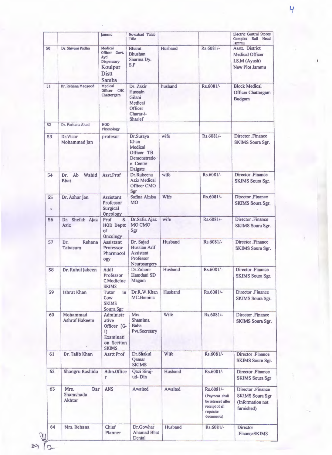|          |                                    | Jammu                                                                              | Nowabad Talab<br>Tillo                                                            |         |                                                                                               | <b>Electric Central Stores</b><br>Complex Rail Head<br>Jammu                  |
|----------|------------------------------------|------------------------------------------------------------------------------------|-----------------------------------------------------------------------------------|---------|-----------------------------------------------------------------------------------------------|-------------------------------------------------------------------------------|
| 50       | Dr. Shivani Padha                  | Medical<br>Officer Govt.<br>Ayd<br>Dispensary<br>Koulpur<br><b>Distt</b><br>Samba  | <b>Bharat</b><br><b>Bhushan</b><br>Sharma Dy.<br>S.P                              | Husband | Rs.6081/-                                                                                     | Asstt. District<br><b>Medical Officer</b><br>I.S.M (Ayush)<br>New Plot Jammu  |
| 51       | Dr. Rehana Maqsood                 | Medical<br>Officer CHC<br>Chattergam                                               | Dr. Zakir<br>Hussain<br>Gilani<br>Medical<br>Officer<br>Charar-i-<br>Sharief      | husband | Rs.6081/-                                                                                     | <b>Block Medical</b><br>Officer Chattergam<br><b>Budgam</b>                   |
| 52       | Dr. Farhana Ahad                   | <b>HOD</b><br>Physiology                                                           |                                                                                   |         |                                                                                               |                                                                               |
| 53       | Dr.Vicar<br>Mohammad Jan           | profesor                                                                           | Dr.Suraya<br>Khan<br>Medical<br>Officer TB<br>Demonstratio<br>n Centre<br>Dalgate | wife    | Rs.6081/-                                                                                     | Director .Finance<br><b>SKIMS Soura Sgr.</b>                                  |
| 54       | Ab<br>Wahid<br>Dr.<br><b>Bhat</b>  | <b>Asst Prof</b>                                                                   | Dr.Rubeena<br><b>Aziz Medical</b><br>Officer CMO<br>Sgr                           | wife    | Rs.6081/-                                                                                     | Director .Finance<br><b>SKIMS Soura Sgr.</b>                                  |
| 55<br>h. | Dr. Azhar Jan                      | <b>Assistant</b><br>Professor<br>Surgical<br>Oncology                              | Safina Alnisa<br><b>MO</b>                                                        | Wife    | Rs.6081/-                                                                                     | Director .Finance<br>SKIMS Soura Sgr.                                         |
| 56       | Dr. Sheikh Ajaz<br>Aziz            | Prof<br>8 <sub>k</sub><br><b>HOD Deptt</b><br>of<br>Oncology                       | Dr.Safia Ajaz<br>MO CMO<br>Sgr                                                    | wife    | Rs.6081/-                                                                                     | Director Finance<br>SKIMS Soura Sgr.                                          |
| 57       | Rehana<br>Dr.<br><b>Tabasum</b>    | <b>Assistant</b><br>Professor<br>Pharmacol<br>ogy                                  | Dr. Sajad<br>Hussian Arif<br><b>Assistant</b><br>Professor<br>Neurosurgery        | Husband | Rs.6081/-                                                                                     | Director .Finance<br><b>SKIMS Soura Sgr.</b>                                  |
| 58       | Dr. Ruhul Jabeen                   | <b>Addl</b><br>Professor<br>C.Medicine<br><b>SKIMS</b>                             | Dr.Zahoor<br>Hamdani SD<br>Magam                                                  | Husband | Rs.6081/-                                                                                     | Director .Finance<br>SKIMS Soura Sgr.                                         |
| 59       | <b>Ishrat Khan</b>                 | <b>Tutor</b><br>in<br>Cow<br><b>SKIMS</b><br>Soura Sgr                             | Dr.R.W.Khan<br>MC.Bemina                                                          | Husband | Rs.6081/-                                                                                     | Director Finance<br><b>SKIMS</b> Soura Sgr.                                   |
| 60       | Mohammad<br><b>Ashraf Hakeem</b>   | Administr<br>ative<br>Officer (G-<br>I)<br>Examinati<br>on Section<br><b>SKIMS</b> | Mrs.<br>Shamima<br>Baba<br>Pvt.Secretary                                          | Wife    | Rs.6081/-                                                                                     | Director .Finance<br>SKIMS Soura Sgr.                                         |
| 61       | Dr. Talib Khan                     | <b>Asstt Prof</b>                                                                  | Dr.Shakul<br>Qamar<br><b>SKIMS</b>                                                | Wife    | Rs.6081/-                                                                                     | Director .Finance<br><b>SKIMS</b> Soura Sgr.                                  |
| 62       | Shangru Rashida                    | Adm.Office<br>r                                                                    | Qazi Siraj-<br>ud-Din                                                             | Husband | Rs.6081/-                                                                                     | Director .Finance<br><b>SKIMS Soura Sgr</b>                                   |
| 63       | Mrs.<br>Dar<br>Shamshada<br>Akhtar | <b>ANS</b>                                                                         | Awaited                                                                           | Awaited | Rs.6081/-<br>(Payment shall<br>be released after<br>receipt of all<br>requisite<br>documents) | Director .Finance<br><b>SKIMS Soura Sgr</b><br>(Information not<br>furnished) |
| 64       | Mrs. Rehana                        | Chief<br>Planner                                                                   | Dr.Gowhar<br><b>Ahamad Bhat</b><br>Dental                                         | Husband | Rs.6081/-                                                                                     | <b>Director</b><br>.FinanceSKIMS                                              |